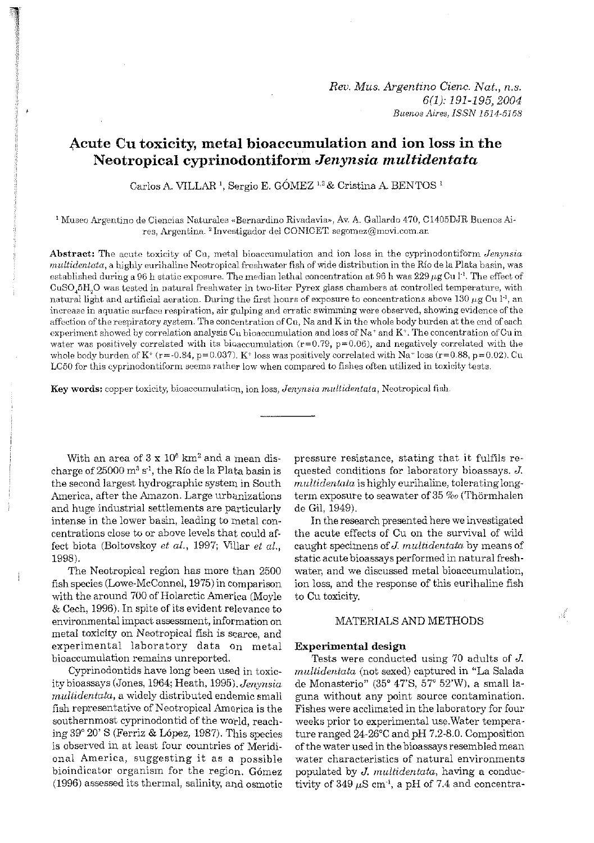# Acute Cu toxicity, metal bioaccumulation and ion loss in the Neotropical cyprinodontiform Jenynsia multidentata

Carlos A. VILLAR<sup>1</sup>, Sergio E. GÓMEZ<sup>1,2</sup> & Cristina A. BENTOS<sup>1</sup>

<sup>1</sup> Museo Argentino de Ciencias Naturales «Bernardino Rivadavia», Av. A. Gallardo 470, C1405DJR Buenos Aires, Argentina. <sup>2</sup> Investigador del CONICET segomez@movi.com.ar.

Abstract: The acute toxicity of Cu, metal bioaccumulation and ion loss in the cyprinodontiform Jenynsia multidentata, a highly eurihaline Neotropical freshwater fish of wide distribution in the Río de la Plata basin, was established during a 96 h static exposure. The median lethal concentration at 96 h was  $229 \,\mu g$  Cu  $1^1$ . The effect of CuSO<sub>4</sub>5H<sub>2</sub>O was tested in natural freshwater in two-liter Pyrex glass chambers at controlled temperature, with natural light and artificial aeration. During the first hours of exposure to concentrations above 130  $\mu$ g Cu 1<sup>-1</sup>, an increase in aquatic surface respiration, air gulping and erratic swimming were observed, showing evidence of the affection of the respiratory system. The concentration of Cu, Na and K in the whole body burden at the end of each experiment showed by correlation analysis Cu bioaccumulation and loss of Na+ and K+. The concentration of Cu in water was positively correlated with its bioaccumulation ( $r=0.79$ ,  $p=0.06$ ), and negatively correlated with the whole body burden of  $K^+(r=-0.84, p=0.037)$ .  $K^+$  loss was positively correlated with Na<sup>+</sup> loss  $(r=0.88, p=0.02)$ . Cu LC50 for this cyprinodontiform seems rather low when compared to fishes often utilized in toxicity tests.

Key words: copper toxicity, bioaccumulation, ion loss, Jenynsia multidentata, Neotropical fish.

With an area of  $3 \times 10^6$  km<sup>2</sup> and a mean discharge of 25000 m<sup>3</sup> s<sup>-1</sup>, the Río de la Plata basin is the second largest hydrographic system in South America, after the Amazon. Large urbanizations and huge industrial settlements are particularly intense in the lower basin, leading to metal concentrations close to or above levels that could affect biota (Boltovskoy et al., 1997; Villar et al., 1998).

The Neotropical region has more than 2500 fish species (Lowe-McConnel, 1975) in comparison with the around 700 of Holarctic America (Moyle & Cech, 1996). In spite of its evident relevance to environmental impact assessment, information on metal toxicity on Neotropical fish is scarce, and experimental laboratory data on metal bioaccumulation remains unreported.

Cyprinodontids have long been used in toxicity bioassays (Jones, 1964; Heath, 1995), Jenynsia multidentata, a widely distributed endemic small fish representative of Neotropical America is the southernmost cyprinodontid of the world, reaching 39° 20' S (Ferriz & López, 1987). This species is observed in at least four countries of Meridional America, suggesting it as a possible bioindicator organism for the region. Gómez (1996) assessed its thermal, salinity, and osmotic

pressure resistance, stating that it fulfils requested conditions for laboratory bioassays. J. multidentata is highly eurihaline, tolerating longterm exposure to seawater of 35 % (Thörmhalen de Gil. 1949).

In the research presented here we investigated the acute effects of Cu on the survival of wild caught specimens of J. multidentata by means of static acute bioassays performed in natural freshwater, and we discussed metal bioaccumulation. ion loss, and the response of this eurihaline fish to Cu toxicity.

# MATERIALS AND METHODS

Á

#### **Experimental design**

Tests were conducted using 70 adults of  $J$ . multidentata (not sexed) captured in "La Salada de Monasterio" (35° 47'S, 57° 52'W), a small laguna without any point source contamination. Fishes were acclimated in the laboratory for four weeks prior to experimental use. Water temperature ranged  $24-26$ °C and pH 7.2-8.0. Composition of the water used in the bioassays resembled mean water characteristics of natural environments populated by J. multidentata, having a conductivity of  $349 \mu S$  cm<sup>-1</sup>, a pH of 7.4 and concentra-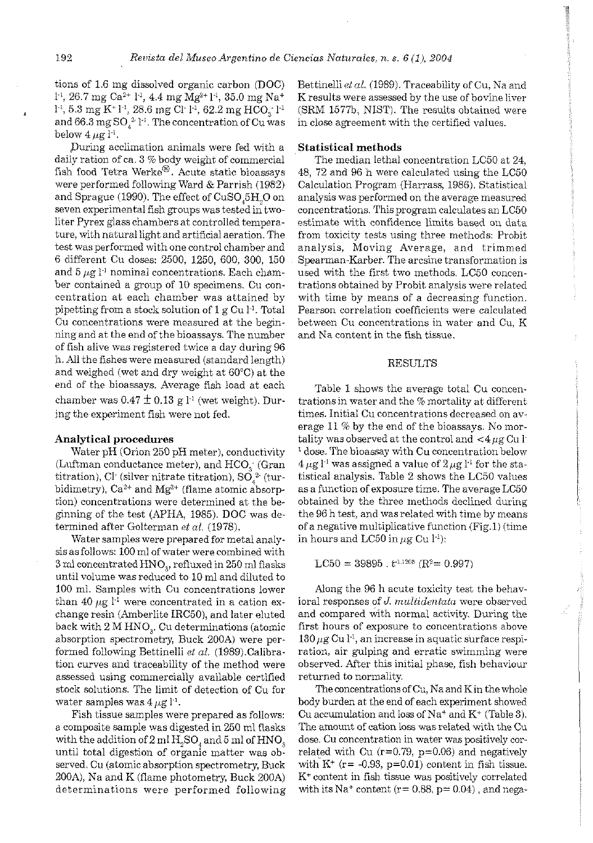tions of 1.6 mg dissolved organic carbon (DOC)  $1^{-1}$ , 26.7 mg Ca<sup>2+</sup> 1<sup>-1</sup>, 4.4 mg Mg<sup>2+</sup> 1<sup>-1</sup>, 35.0 mg Na<sup>+</sup>  $1<sup>-1</sup>$ , 5.3 mg K<sup>+</sup> $1<sup>-1</sup>$ , 28.6 mg Ci<sup>-</sup> $1<sup>-1</sup>$ , 62.2 mg HCO<sub>i</sub><sup>-</sup> $1<sup>-1</sup>$ and 66.3 mgS0,2- **1'.** The concentration of Cu was below  $4 \mu \text{g}$  l<sup>-1</sup>.

Puring acclimation animals were fed with a daily ration of ca.  $3\%$  body weight of commercial fish food Tetra Werke<sup>®</sup>. Acute static bioassays were performed following Ward & Parrish (1982) and Sprague (1990). The effect of CuSO 5H,O on seven experimental fish groups was tested in twoliter Pyrex glasschambers at controlled temperature, witllnatural light and artificial aeration. The test was performed with one control chamber and 6 different Cu doses: 2500, 1250, 600, 300, 150 and  $5 \mu g$  1<sup>-1</sup> nominal concentrations. Each chamber contained a group of 10 specimens. Cu concentration at each chamber was attained by pipetting from a stock solution of  $1 g Cu l^{-1}$ . Total Cu concentrations were measured at the beginning and at the end of the bioassays. The number of fish alive was registered twice a day during 96 b. All the fishes were measured (standard length) and weighed (wet and dry weight at 60°C) at the end of the bioassays. Average fish load at each chamber was  $0.47 \pm 0.13$  g l<sup>-1</sup> (wet weight). During the experiment fish were not fed.

# **Analytical procedures**

Water pH (Orion 250 pH meter), conductivity (Luftman conductance meter), and HCO; (Gran titration), Cl<sup>.</sup> (silver nitrate titration), SO $^{2}_{s}$  (turbidimetry),  $Ca^{2+}$  and  $Mg^{2+}$  (flame atomic absorption) concentrations were determined at the beginning of the test (APHA, 1985). DOC was determined after Golterman *et al.* (1978).

Water samples were prepared for metal analysis as follows: 100 mi of water were combined with **3** mi concentratedHNO,, refluxed in 250 ml flasks until volume was reduced to 10 ml and diluted to 100 mi. Samples with Cu concentrations lower than 40  $\mu$ g  $\Gamma$ <sup>1</sup> were concentrated in a cation exchange resin (Amberlite IRC50), and later eluted back with 2 M HNO,. Cu determinations (atomic absorption spectrometry, Buck 200A) were performed following Bettinelli et al. (1989).Calibration curves and traceability of the method were assessed using commercially available certified stock solutions. The limit of detection of Cu for water samples was  $4 \mu g l^{-1}$ .

Fish tissue samples were prepared as follows: a composite sample was digested in 250 ml flasks with the addition of  $2 \text{ ml H}_2\text{SO}_4$  and  $5 \text{ ml of HNO}_3$ until total digestion of organic matter was observed. Cu (atomic absorption spectrometry, Buck 200A), Na and K (flame photometry, Buck 200A) determinations were performed following

Bettinelli *el al.* (1989). Traceability of Cu, Na and K results were assessed by the use of bovine liver (SRM 1577b, NIST). The results obtained were in close agreement with the certified values.

# **Statistical methods**

The median lethal concentration LC50 at 24, 48, 72 and 96 h were calculated using the LC50 Calculation Program (Harrass, 1986). Statistical analysis was performed on the average measured concentrations. This program calculates an LC50 estimate with confidence limits based on data from toxicity tests using three methods: Probit analysis, Moving Average, and trimmed Spearman-Karber. The arcsine transformation is used with the first two methods. LC50 concentrations obtained by Probit analysis were related with time by means of a decreasing function. Pearson correlation coefficients were calculated between Cu concentrations in water and Cu, K and Na content in the fish tissue.

# **RESULTS**

Table 1 shows the average total Cu concentrations in water and the % mortality at different tirnes. Initial Cu concentrations decreased on average 11 % by the end of the bioassays. No mortality was observed at the control and  $\lt 4 \mu$ g Cu l<sup>.</sup>  $<sup>1</sup>$  dose. The bioassay with Cu concentration below</sup>  $4 \mu$ g l<sup>-1</sup> was assigned a value of  $2 \mu$ g l<sup>-1</sup> for the statistical analysis. Table 2 shows the LC50 values as a function of exposure time. The average LC50 obtained by the three methods declined during the 96 h test, and was related with time by means of a negative multiplicative function (Fig.1) (time in hours and LC50 in  $\mu$ g Cu  $1^1$ ):

 $LC50 = 39895$ .  $t^{1.1208}$  (R<sup>2</sup>= 0.997)

Along the 96 h acute toxicity test the behavioral responses of *J. multidentata* were observed and compared with normal activity. During the first hours of exposure to concentrations above  $130~\mu$ g Cu l<sup>-1</sup>, an increase in aquatic surface respiration, air gulping and erratic swimming were observed. After this initial phase, fish behaviour returned to normality.

The concentrations of Cu, Na and K in the whole body burden at the end of each experiment showed Cu accumulation and loss of  $Na^+$  and  $K^+$  (Table 3). The amourit of cation loss was related with the Cu dose. Cu concentration in water was positively correlated with Cu  $(r=0.79, p=0.06)$  and negatively with  $K^+$  (r= -0.93, p=0.01) content in fish tissue. K+ content in fish tissue was positively correlated with its  $Na^+$  content ( $r= 0.88$ ,  $p= 0.04$ ), and nega-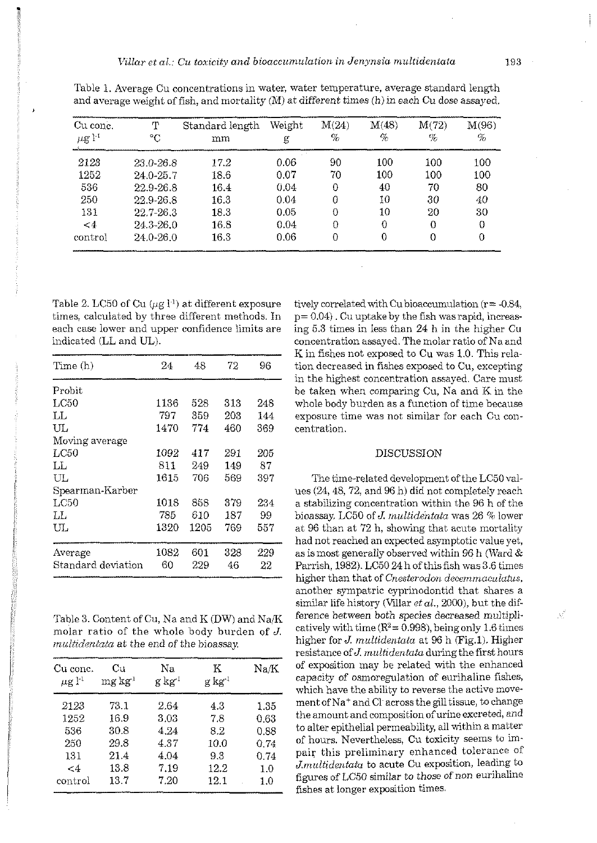| Cu conc.<br>$\mu$ g l <sup>-1</sup> | т<br>°C     | Standard length<br>mm | Weight<br>g | M(24)<br>% | M(48)<br>% | M(72)<br>% | M(96)<br>% |
|-------------------------------------|-------------|-----------------------|-------------|------------|------------|------------|------------|
| 2123                                | 23.0-26.8   | 17.2                  | 0.06        | 90         | 100        | 100        | 100        |
| 1252                                | 24 0-25.7   | 18.6                  | 0.07        | 70         | 100        | 100        | 100        |
| 536                                 | 22.9-26.8   | 16.4                  | 0.04        | 0          | 40         | 70         | 80         |
| 250                                 | 22.9-26.8   | 16.3                  | 0.04        | 0          | 10         | 30         | 40         |
| 131                                 | 22.7-26.3   | 18.3                  | 0.05        | 0          | 10         | 20         | 30         |
| $\leq 4$                            | 24 3 - 26 0 | 16.8                  | 0.04        | $\Omega$   | $\Omega$   | $\Omega$   | 0          |
| control                             | 24 0-26 0   | 16.3                  | 0.06        | 0          | 0          | 0          | 0          |

Table 1. Average Cu concentrations in water, water temperature, average standard length and average weight of fish, and mortality  $(M)$  at different times  $(h)$  in each Cu dose assayed.

Table 2. LC50 of Cu  $(\mu g l^1)$  at different exposure times, calculated by three different methods. In each case lower and upper confidence limits are indicated (LL and UL).

| Time (h)           | 24   | 48   | 72  | 96  |
|--------------------|------|------|-----|-----|
| Probit             |      |      |     |     |
| LC50               | 1136 | 528  | 313 | 248 |
| LL                 | 797  | 359  | 203 | 144 |
| UL                 | 1470 | 774  | 460 | 369 |
| Moving average     |      |      |     |     |
| LC50               | 1092 | 417  | 291 | 205 |
| LЬ                 | 811  | 249  | 149 | 87  |
| UL.                | 1615 | 706  | 569 | 397 |
| Spearman-Karber    |      |      |     |     |
| LC50               | 1018 | 858  | 379 | 234 |
| IJ                 | 785  | 610  | 187 | 99  |
| UЬ                 | 1320 | 1205 | 769 | 557 |
| Average            | 1082 | 601  | 328 | 229 |
| Standard deviation | 60   | 229  | 46  | 22  |

Table 3. Content of Cu, Na and K (DW) and Na/K molar ratio of the whole body burden of J. multidentata at the end of the bioassay.

| Cu cone.<br>$\mu$ g l <sup>-1</sup> | Сu<br>$me$ kg <sup>1</sup> | Na<br>g kg' | K<br>g kg i | $\rm Na/K$ |
|-------------------------------------|----------------------------|-------------|-------------|------------|
| 2123                                | 73.1                       | 2.64        | 4.3         | 1.35       |
| 1252                                | 16.9                       | 3.03        | 7.8         | 0.63       |
| 536                                 | 30.8                       | 4.24        | 8.2         | 0.88       |
| 250                                 | 29.8                       | 4.37        | 10.0        | 0.74       |
| 131                                 | 21.4                       | 4.04        | 9.3         | 0.74       |
| <4                                  | 13.8                       | 7.19        | 12.2        | 1.0        |
| control                             | 13.7                       | 7.20        | 12.1        | 1.0        |

tively correlated with Cu bioaccumulation ( $r = -0.84$ ,  $p = 0.04$ ). Cu uptake by the fish was rapid, increasing 5.3 times in less than 24 h in the higher Cu concentration assayed. The molar ratio of Na and K in fishes not exposed to Cu was 1.0. This relation decreased in fishes exposed to Cu, excepting in the highest concentration assayed. Care must be taken when comparing Cu, Na and K in the whole body burden as a function of time because exposure time was not similar for each Cu concentration.

#### **DISCUSSION**

The time-related development of the LC50 values (24, 48, 72, and 96 h) did not completely reach a stabilizing concentration within the 96 h of the bioassay. LC50 of J. multidentata was 26 % lower at 96 than at 72 h, showing that acute mortality had not reached an expected asymptotic value yet, as is most generally observed within 96 h (Ward  $&$ Parrish, 1982). LC50 24 h of this fish was 3.6 times higher than that of Cnesterodon decemmaculatus, another sympatric cyprinodontid that shares a similar life history (Villar  $et$   $al.,$  2000), but the difference between both species decreased multiplicatively with time ( $R^2$  = 0.998), being only 1.6 times higher for J. multidentata at 96 h (Fig.1). Higher resistance of J. multidentata during the first hours of exposition may be related with the enhanced capacity of osmoregulation of eurihaline fishes, which have the ability to reverse the active movement of Na<sup>+</sup> and Cl across the gill tissue, to change the amount and composition of urine excreted, and to alter epithelial permeability, all within a matter of hours. Nevertheless, Cu toxicity seems to impair this preliminary enhanced tolerance of J.multidentata to acute Cu exposition, leading to figures of LC50 similar to those of non eurihaline fishes at longer exposition times.

Ê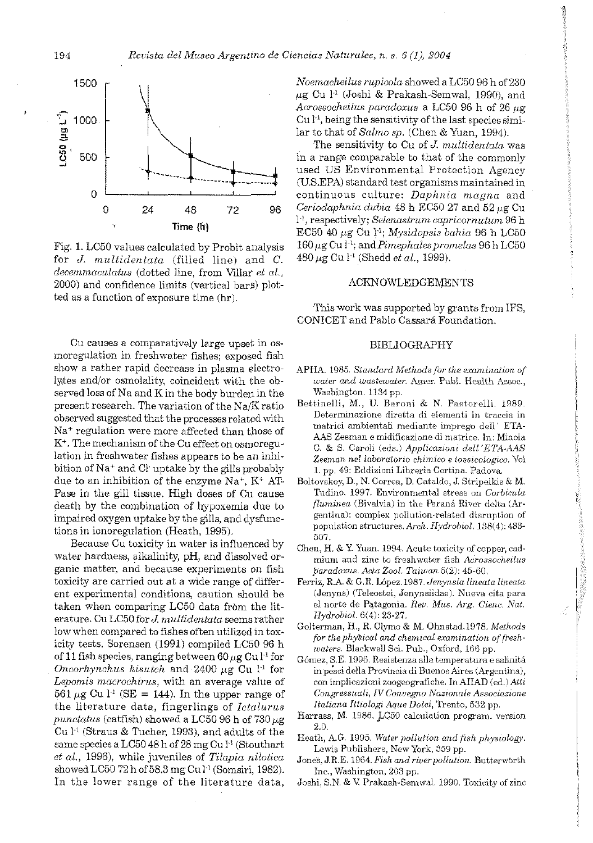

Fig. 1. LC50 values calculated by Probit analysis for J. multidentata (filled line) and C. decemmaculatus (dotted line, from Villar et al., 2000) and confidence limits (vertical bars) plotted as a function of exposure time (hr).

Cu causes a comparatively large upset in osmoregulation in freshwater fishes; exposed fish show a rather rapid decrease in plasma electrolytes and/or osmolality, coincident with the observed loss of Na and K in the body burden in the present research. The variation of the Na/K ratio observed suggested that the processes related with Na<sup>+</sup> regulation were more affected than those of K<sup>+</sup>. The mechanism of the Cu effect on osmoregulation in freshwater fishes appears to be an inhibition of Na<sup>+</sup> and Cl uptake by the gills probably due to an inhibition of the enzyme  $Na^+$ ,  $K^+$  AT-Pase in the gill tissue. High doses of Cu cause death by the combination of hypoxemia due to impaired oxygen uptake by the gills, and dysfunctions in ionoregulation (Heath, 1995).

Because Cu toxicity in water is influenced by water hardness, alkalinity, pH, and dissolved organic matter, and because experiments on fish toxicity are carried out at a wide range of different experimental conditions, caution should be taken when comparing LC50 data from the literature. Cu LC50 for J. multidentata seems rather low when compared to fishes often utilized in toxicity tests. Sorensen (1991) compiled LC50 96 h of 11 fish species, ranging between 60  $\mu$ g Cu l<sup>-1</sup> for Oncorhynchus kisutch and 2400  $\mu$ g Cu l<sup>-1</sup> for Lepomis macrochirus, with an average value of 561  $\mu$ g Cu l<sup>-1</sup> (SE = 144). In the upper range of the literature data, fingerlings of Ictalurus punctatus (catfish) showed a LC50 96 h of 730  $\mu$ g Cu<sup>1-1</sup> (Straus & Tucher, 1993), and adults of the same species a LC50 48 h of 28 mg Cu l<sup>1</sup> (Stouthart et al., 1996), while juveniles of Tilapia nilotica showed LC50 72 h of 58.3 mg Cu l<sup>-1</sup> (Somsiri, 1982). In the lower range of the literature data,

Noemacheilus rupicola showed a LC50 96 h of 230  $\mu$ g Cu l<sup>-1</sup> (Joshi & Prakash-Semwal, 1990), and Acrossocheilus paradoxus a LC50 96 h of 26 ug  $Cu I<sup>1</sup>$ , being the sensitivity of the last species similar to that of Salmo sp. (Chen & Yuan, 1994).

The sensitivity to Cu of J. multidentata was in a range comparable to that of the commonly used US Environmental Protection Agency (U.S.EPA) standard test organisms maintained in continuous culture: Daphnia magna and Ceriodaphnia dubia 48 h EC50 27 and 52 µg Cu  $l<sup>-1</sup>$ , respectively; Selenastrum capricornutum 96 h  $EC50$  40  $\mu$ g Cu l<sup>1</sup>: Mysidopsis bahia 96 h LC50  $160 \mu$ g Cu  $l^{-1}$ ; and *Pimephales promelas* 96 h LC50  $480 \,\mu g$  Cu l<sup>-1</sup> (Shedd *et al.*, 1999).

# **ACKNOWLEDGEMENTS**

This work was supported by grants from IFS, CONICET and Pablo Cassará Foundation.

#### **BIBLIOGRAPHY**

- APHA. 1985. Standard Methods for the examination of water and wastewater. Amer. Publ. Health Assoc., Washington, 1134 pp.
- Bettinelli, M., U. Baroni & N. Pastorelli. 1989. Determinazione diretta di elementi in traccia in matrici ambientali mediante imprego dell' ETA-AAS Zeeman e midificazione di matrice. In: Minoia C. & S. Caroli (eds.) Applicazioni dell'ETA-AAS Zeeman nel laboratorio chimico e tossicologico. Vol 1. pp. 49: Eddizioni Libreria Cortina. Padova.
- Boltovskey, D., N. Correa, D. Cataldo, J. Stripeikis & M. Tudino, 1997. Environmental stress on Corbicula fluminea (Bivalvia) in the Paraná River delta (Argentina): complex pollution-related disruption of population structures. Arch. Hydrobiol. 138(4): 483-507.

É

- Chen, H. & Y. Yuan. 1994. Acute toxicity of copper, cadmium and zinc to freshwater fish Acrossocheilus paradoxus. Acta Zool. Taiwan 5(2): 45-60.
- Ferriz, R.A. & G.R. López.1987. Jenynsia lineata lineata (Jenyns) (Teleostei, Jenynsiidae). Nueva cita para el norte de Patagonia. Rev. Mus. Arg. Cienc. Nat. Hydrobiol. 6(4): 23-27.
- Golterman, H., R. Clymo & M. Ohnstad. 1978. Methods for the physical and chemical examination of freshwaters. Blackwell Sci. Pub., Oxford, 166 pp.
- Gómez, S.E. 1996. Resistenza alla temperatura e salinitá in pesci della Provincia di Buenos Aires (Argentina), con implicazioni zoogeografiche. In AIIAD (ed.) Atti Congressuali, IV Convegno Nazionale Associazione Italiana Ittiologi Aque Dolci, Trento, 532 pp.
- Harrass, M. 1986. LC50 calculation program. version 2.0.
- Heath, A.G. 1995. Water pollution and fish physiology. Lewis Publishers, New York, 359 pp.
- Jones, J.R.E. 1964. Fish and river pollution. Butterworth Inc., Washington, 203 pp.
- Joshi, S.N. & V. Prakash-Semwal. 1990. Toxicity of zinc